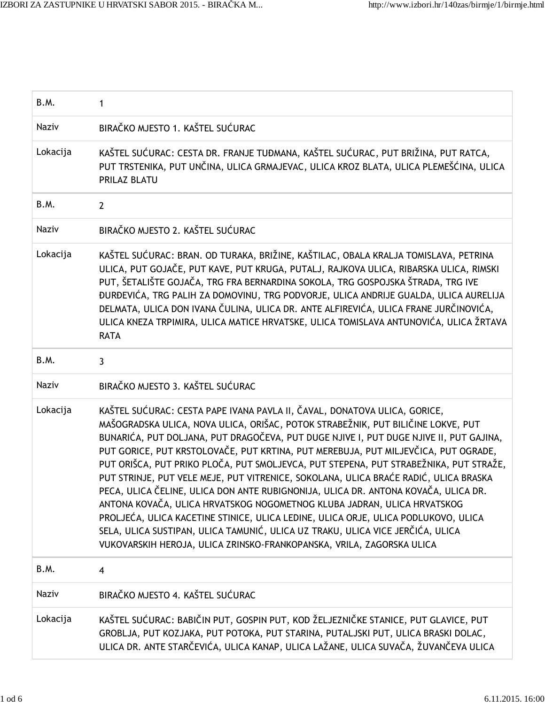| B.M.         | 1                                                                                                                                                                                                                                                                                                                                                                                                                                                                                                                                                                                                                                                                                                                                                                                                                                                                                                                                                |
|--------------|--------------------------------------------------------------------------------------------------------------------------------------------------------------------------------------------------------------------------------------------------------------------------------------------------------------------------------------------------------------------------------------------------------------------------------------------------------------------------------------------------------------------------------------------------------------------------------------------------------------------------------------------------------------------------------------------------------------------------------------------------------------------------------------------------------------------------------------------------------------------------------------------------------------------------------------------------|
| Naziv        | BIRAČKO MJESTO 1. KAŠTEL SUĆURAC                                                                                                                                                                                                                                                                                                                                                                                                                                                                                                                                                                                                                                                                                                                                                                                                                                                                                                                 |
| Lokacija     | KAŠTEL SUĆURAC: CESTA DR. FRANJE TUĐMANA, KAŠTEL SUĆURAC, PUT BRIŽINA, PUT RATCA,<br>PUT TRSTENIKA, PUT UNČINA, ULICA GRMAJEVAC, ULICA KROZ BLATA, ULICA PLEMEŠĆINA, ULICA<br><b>PRILAZ BLATU</b>                                                                                                                                                                                                                                                                                                                                                                                                                                                                                                                                                                                                                                                                                                                                                |
| B.M.         | $\overline{2}$                                                                                                                                                                                                                                                                                                                                                                                                                                                                                                                                                                                                                                                                                                                                                                                                                                                                                                                                   |
| Naziv        | BIRAČKO MJESTO 2. KAŠTEL SUĆURAC                                                                                                                                                                                                                                                                                                                                                                                                                                                                                                                                                                                                                                                                                                                                                                                                                                                                                                                 |
| Lokacija     | KAŠTEL SUĆURAC: BRAN. OD TURAKA, BRIŽINE, KAŠTILAC, OBALA KRALJA TOMISLAVA, PETRINA<br>ULICA, PUT GOJAČE, PUT KAVE, PUT KRUGA, PUTALJ, RAJKOVA ULICA, RIBARSKA ULICA, RIMSKI<br>PUT, ŠETALIŠTE GOJAČA, TRG FRA BERNARDINA SOKOLA, TRG GOSPOJSKA ŠTRADA, TRG IVE<br>ĐURĐEVIĆA, TRG PALIH ZA DOMOVINU, TRG PODVORJE, ULICA ANDRIJE GUALDA, ULICA AURELIJA<br>DELMATA, ULICA DON IVANA ČULINA, ULICA DR. ANTE ALFIREVIĆA, ULICA FRANE JURČINOVIĆA,<br>ULICA KNEZA TRPIMIRA, ULICA MATICE HRVATSKE, ULICA TOMISLAVA ANTUNOVIĆA, ULICA ŽRTAVA<br><b>RATA</b>                                                                                                                                                                                                                                                                                                                                                                                          |
| B.M.         | $\mathbf{3}$                                                                                                                                                                                                                                                                                                                                                                                                                                                                                                                                                                                                                                                                                                                                                                                                                                                                                                                                     |
| <b>Naziv</b> | BIRAČKO MJESTO 3. KAŠTEL SUĆURAC                                                                                                                                                                                                                                                                                                                                                                                                                                                                                                                                                                                                                                                                                                                                                                                                                                                                                                                 |
| Lokacija     | KAŠTEL SUĆURAC: CESTA PAPE IVANA PAVLA II, ČAVAL, DONATOVA ULICA, GORICE,<br>MAŠOGRADSKA ULICA, NOVA ULICA, ORIŠAC, POTOK STRABEŽNIK, PUT BILIČINE LOKVE, PUT<br>BUNARIĆA, PUT DOLJANA, PUT DRAGOČEVA, PUT DUGE NJIVE I, PUT DUGE NJIVE II, PUT GAJINA,<br>PUT GORICE, PUT KRSTOLOVAČE, PUT KRTINA, PUT MEREBUJA, PUT MILJEVČICA, PUT OGRADE,<br>PUT ORIŠCA, PUT PRIKO PLOČA, PUT SMOLJEVCA, PUT STEPENA, PUT STRABEŽNIKA, PUT STRAŽE,<br>PUT STRINJE, PUT VELE MEJE, PUT VITRENICE, SOKOLANA, ULICA BRAĆE RADIĆ, ULICA BRASKA<br>PECA, ULICA ČELINE, ULICA DON ANTE RUBIGNONIJA, ULICA DR. ANTONA KOVAČA, ULICA DR.<br>ANTONA KOVAČA, ULICA HRVATSKOG NOGOMETNOG KLUBA JADRAN, ULICA HRVATSKOG<br>PROLJEĆA, ULICA KACETINE STINICE, ULICA LEDINE, ULICA ORJE, ULICA PODLUKOVO, ULICA<br>SELA, ULICA SUSTIPAN, ULICA TAMUNIĆ, ULICA UZ TRAKU, ULICA VICE JERČIĆA, ULICA<br>VUKOVARSKIH HEROJA, ULICA ZRINSKO-FRANKOPANSKA, VRILA, ZAGORSKA ULICA |
| B.M.         | 4                                                                                                                                                                                                                                                                                                                                                                                                                                                                                                                                                                                                                                                                                                                                                                                                                                                                                                                                                |
| Naziv        | BIRAČKO MJESTO 4. KAŠTEL SUĆURAC                                                                                                                                                                                                                                                                                                                                                                                                                                                                                                                                                                                                                                                                                                                                                                                                                                                                                                                 |
| Lokacija     | KAŠTEL SUĆURAC: BABIČIN PUT, GOSPIN PUT, KOD ŽELJEZNIČKE STANICE, PUT GLAVICE, PUT<br>GROBLJA, PUT KOZJAKA, PUT POTOKA, PUT STARINA, PUTALJSKI PUT, ULICA BRASKI DOLAC,<br>ULICA DR. ANTE STARČEVIĆA, ULICA KANAP, ULICA LAŽANE, ULICA SUVAČA, ŽUVANČEVA ULICA                                                                                                                                                                                                                                                                                                                                                                                                                                                                                                                                                                                                                                                                                   |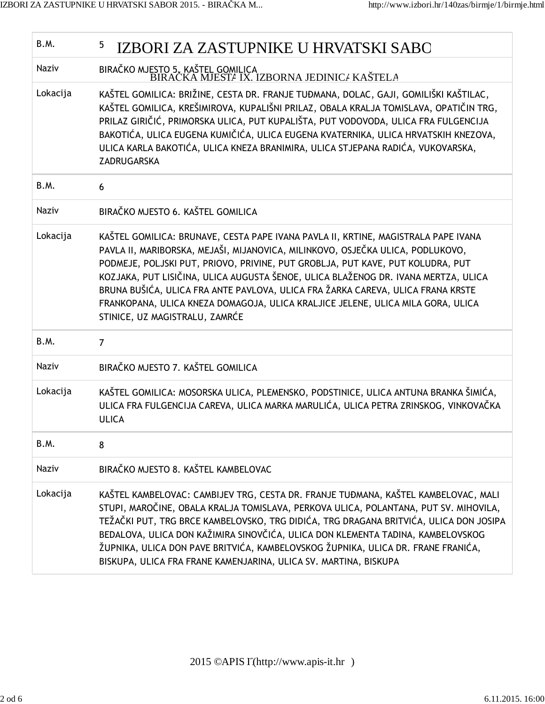| B.M.         | 5<br>IZBORI ZA ZASTUPNIKE U HRVATSKI SABO                                                                                                                                                                                                                                                                                                                                                                                                                                                                                                            |
|--------------|------------------------------------------------------------------------------------------------------------------------------------------------------------------------------------------------------------------------------------------------------------------------------------------------------------------------------------------------------------------------------------------------------------------------------------------------------------------------------------------------------------------------------------------------------|
| Naziv        | BIRAČKO MJESTO 5. KAŠTEL GOMILICA<br>BIRAČKA MJESTA IX. IZBORNA JEDINICA KAŠTELA                                                                                                                                                                                                                                                                                                                                                                                                                                                                     |
| Lokacija     | KAŠTEL GOMILICA: BRIŽINE, CESTA DR. FRANJE TUĐMANA, DOLAC, GAJI, GOMILIŠKI KAŠTILAC,<br>KAŠTEL GOMILICA, KREŠIMIROVA, KUPALIŠNI PRILAZ, OBALA KRALJA TOMISLAVA, OPATIČIN TRG,<br>PRILAZ GIRIČIĆ, PRIMORSKA ULICA, PUT KUPALIŠTA, PUT VODOVODA, ULICA FRA FULGENCIJA<br>BAKOTIĆA, ULICA EUGENA KUMIČIĆA, ULICA EUGENA KVATERNIKA, ULICA HRVATSKIH KNEZOVA,<br>ULICA KARLA BAKOTIĆA, ULICA KNEZA BRANIMIRA, ULICA STJEPANA RADIĆA, VUKOVARSKA,<br>ZADRUGARSKA                                                                                          |
| B.M.         | 6                                                                                                                                                                                                                                                                                                                                                                                                                                                                                                                                                    |
| <b>Naziv</b> | BIRAČKO MJESTO 6. KAŠTEL GOMILICA                                                                                                                                                                                                                                                                                                                                                                                                                                                                                                                    |
| Lokacija     | KAŠTEL GOMILICA: BRUNAVE, CESTA PAPE IVANA PAVLA II, KRTINE, MAGISTRALA PAPE IVANA<br>PAVLA II, MARIBORSKA, MEJAŠI, MIJANOVICA, MILINKOVO, OSJEČKA ULICA, PODLUKOVO,<br>PODMEJE, POLJSKI PUT, PRIOVO, PRIVINE, PUT GROBLJA, PUT KAVE, PUT KOLUDRA, PUT<br>KOZJAKA, PUT LISIČINA, ULICA AUGUSTA ŠENOE, ULICA BLAŽENOG DR. IVANA MERTZA, ULICA<br>BRUNA BUŠIĆA, ULICA FRA ANTE PAVLOVA, ULICA FRA ŽARKA CAREVA, ULICA FRANA KRSTE<br>FRANKOPANA, ULICA KNEZA DOMAGOJA, ULICA KRALJICE JELENE, ULICA MILA GORA, ULICA<br>STINICE, UZ MAGISTRALU, ZAMRĆE |
| B.M.         | $\overline{7}$                                                                                                                                                                                                                                                                                                                                                                                                                                                                                                                                       |
| Naziv        | BIRAČKO MJESTO 7. KAŠTEL GOMILICA                                                                                                                                                                                                                                                                                                                                                                                                                                                                                                                    |
| Lokacija     | KAŠTEL GOMILICA: MOSORSKA ULICA, PLEMENSKO, PODSTINICE, ULICA ANTUNA BRANKA ŠIMIĆA,<br>ULICA FRA FULGENCIJA CAREVA, ULICA MARKA MARULIĆA, ULICA PETRA ZRINSKOG, VINKOVAČKA<br><b>ULICA</b>                                                                                                                                                                                                                                                                                                                                                           |
| B.M.         | 8                                                                                                                                                                                                                                                                                                                                                                                                                                                                                                                                                    |
| Naziv        | BIRAČKO MJESTO 8. KAŠTEL KAMBELOVAC                                                                                                                                                                                                                                                                                                                                                                                                                                                                                                                  |
| Lokacija     | KAŠTEL KAMBELOVAC: CAMBIJEV TRG, CESTA DR. FRANJE TUĐMANA, KAŠTEL KAMBELOVAC, MALI<br>STUPI, MAROČINE, OBALA KRALJA TOMISLAVA, PERKOVA ULICA, POLANTANA, PUT SV. MIHOVILA,<br>TEŽAČKI PUT, TRG BRCE KAMBELOVSKO, TRG DIDIĆA, TRG DRAGANA BRITVIĆA, ULICA DON JOSIPA<br>BEDALOVA, ULICA DON KAŽIMIRA SINOVČIĆA, ULICA DON KLEMENTA TADINA, KAMBELOVSKOG<br>ŽUPNIKA, ULICA DON PAVE BRITVIĆA, KAMBELOVSKOG ŽUPNIKA, ULICA DR. FRANE FRANIĆA,<br>BISKUPA, ULICA FRA FRANE KAMENJARINA, ULICA SV. MARTINA, BISKUPA                                       |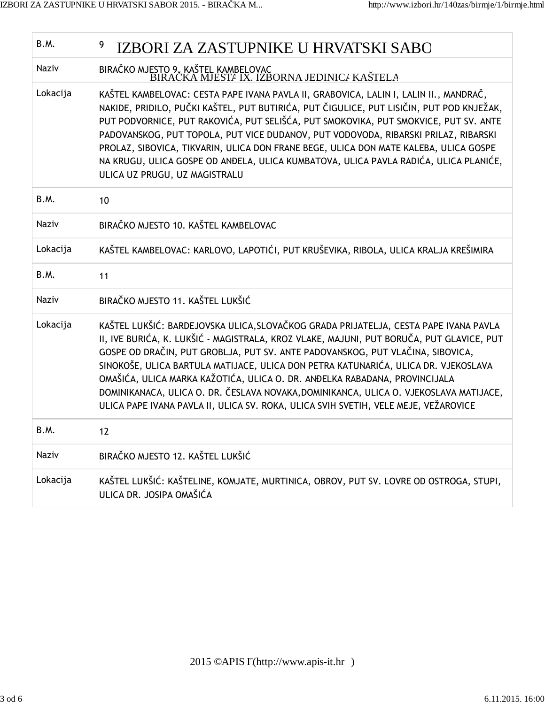| B.M.         | 9<br>IZBORI ZA ZASTUPNIKE U HRVATSKI SABO                                                                                                                                                                                                                                                                                                                                                                                                                                                                                                                                                                              |
|--------------|------------------------------------------------------------------------------------------------------------------------------------------------------------------------------------------------------------------------------------------------------------------------------------------------------------------------------------------------------------------------------------------------------------------------------------------------------------------------------------------------------------------------------------------------------------------------------------------------------------------------|
| Naziv        | BIRAČKO MJESTO 9. KAŠTEL KAMBELOVAC<br>BIRAČKA MJESTA IX. IZBORNA JEDINICA KAŠTELA                                                                                                                                                                                                                                                                                                                                                                                                                                                                                                                                     |
| Lokacija     | KAŠTEL KAMBELOVAC: CESTA PAPE IVANA PAVLA II, GRABOVICA, LALIN I, LALIN II., MANDRAČ,<br>NAKIDE, PRIDILO, PUČKI KAŠTEL, PUT BUTIRIĆA, PUT ČIGULICE, PUT LISIČIN, PUT POD KNJEŽAK,<br>PUT PODVORNICE, PUT RAKOVIĆA, PUT SELIŠĆA, PUT SMOKOVIKA, PUT SMOKVICE, PUT SV. ANTE<br>PADOVANSKOG, PUT TOPOLA, PUT VICE DUDANOV, PUT VODOVODA, RIBARSKI PRILAZ, RIBARSKI<br>PROLAZ, SIBOVICA, TIKVARIN, ULICA DON FRANE BEGE, ULICA DON MATE KALEBA, ULICA GOSPE<br>NA KRUGU, ULICA GOSPE OD ANĐELA, ULICA KUMBATOVA, ULICA PAVLA RADIĆA, ULICA PLANIĆE,<br>ULICA UZ PRUGU, UZ MAGISTRALU                                       |
| B.M.         | 10                                                                                                                                                                                                                                                                                                                                                                                                                                                                                                                                                                                                                     |
| <b>Naziv</b> | BIRAČKO MJESTO 10. KAŠTEL KAMBELOVAC                                                                                                                                                                                                                                                                                                                                                                                                                                                                                                                                                                                   |
| Lokacija     | KAŠTEL KAMBELOVAC: KARLOVO, LAPOTIĆI, PUT KRUŠEVIKA, RIBOLA, ULICA KRALJA KREŠIMIRA                                                                                                                                                                                                                                                                                                                                                                                                                                                                                                                                    |
| B.M.         | 11                                                                                                                                                                                                                                                                                                                                                                                                                                                                                                                                                                                                                     |
| <b>Naziv</b> | BIRAČKO MJESTO 11. KAŠTEL LUKŠIĆ                                                                                                                                                                                                                                                                                                                                                                                                                                                                                                                                                                                       |
| Lokacija     | KAŠTEL LUKŠIĆ: BARDEJOVSKA ULICA, SLOVAČKOG GRADA PRIJATELJA, CESTA PAPE IVANA PAVLA<br>II, IVE BURIĆA, K. LUKŠIĆ - MAGISTRALA, KROZ VLAKE, MAJUNI, PUT BORUČA, PUT GLAVICE, PUT<br>GOSPE OD DRAČIN, PUT GROBLJA, PUT SV. ANTE PADOVANSKOG, PUT VLAČINA, SIBOVICA,<br>SINOKOŠE, ULICA BARTULA MATIJACE, ULICA DON PETRA KATUNARIĆA, ULICA DR. VJEKOSLAVA<br>OMAŠIĆA, ULICA MARKA KAŽOTIĆA, ULICA O. DR. ANĐELKA RABADANA, PROVINCIJALA<br>DOMINIKANACA, ULICA O. DR. ČESLAVA NOVAKA, DOMINIKANCA, ULICA O. VJEKOSLAVA MATIJACE,<br>ULICA PAPE IVANA PAVLA II, ULICA SV. ROKA, ULICA SVIH SVETIH, VELE MEJE, VEŽAROVICE |
| B.M.         | 12                                                                                                                                                                                                                                                                                                                                                                                                                                                                                                                                                                                                                     |
| <b>Naziv</b> | BIRAČKO MJESTO 12. KAŠTEL LUKŠIĆ                                                                                                                                                                                                                                                                                                                                                                                                                                                                                                                                                                                       |
| Lokacija     | KAŠTEL LUKŠIĆ: KAŠTELINE, KOMJATE, MURTINICA, OBROV, PUT SV. LOVRE OD OSTROGA, STUPI,<br>ULICA DR. JOSIPA OMAŠIĆA                                                                                                                                                                                                                                                                                                                                                                                                                                                                                                      |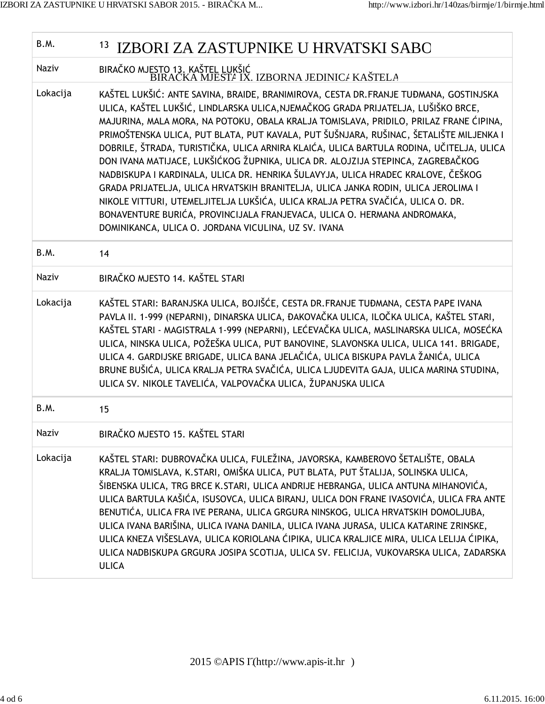| B.M.         | 13<br>IZBORI ZA ZASTUPNIKE U HRVATSKI SABO                                                                                                                                                                                                                                                                                                                                                                                                                                                                                                                                                                                                                                                                                                                                                                                                                                                                                                  |
|--------------|---------------------------------------------------------------------------------------------------------------------------------------------------------------------------------------------------------------------------------------------------------------------------------------------------------------------------------------------------------------------------------------------------------------------------------------------------------------------------------------------------------------------------------------------------------------------------------------------------------------------------------------------------------------------------------------------------------------------------------------------------------------------------------------------------------------------------------------------------------------------------------------------------------------------------------------------|
| <b>Naziv</b> | BIRAČKO MJESTO 13. KAŠTEL LUKŠIĆ<br>BIRACKA MJESTA IX. IZBORNA JEDINICA KAŠTELA                                                                                                                                                                                                                                                                                                                                                                                                                                                                                                                                                                                                                                                                                                                                                                                                                                                             |
| Lokacija     | KAŠTEL LUKŠIĆ: ANTE SAVINA, BRAIDE, BRANIMIROVA, CESTA DR. FRANJE TUĐMANA, GOSTINJSKA<br>ULICA, KAŠTEL LUKŠIĆ, LINDLARSKA ULICA, NJEMAČKOG GRADA PRIJATELJA, LUŠIŠKO BRCE,<br>MAJURINA, MALA MORA, NA POTOKU, OBALA KRALJA TOMISLAVA, PRIDILO, PRILAZ FRANE ĆIPINA,<br>PRIMOŠTENSKA ULICA, PUT BLATA, PUT KAVALA, PUT ŠUŠNJARA, RUŠINAC, ŠETALIŠTE MILJENKA I<br>DOBRILE, ŠTRADA, TURISTIČKA, ULICA ARNIRA KLAIĆA, ULICA BARTULA RODINA, UČITELJA, ULICA<br>DON IVANA MATIJACE, LUKŠIĆKOG ŽUPNIKA, ULICA DR. ALOJZIJA STEPINCA, ZAGREBAČKOG<br>NADBISKUPA I KARDINALA, ULICA DR. HENRIKA ŠULAVYJA, ULICA HRADEC KRALOVE, ČEŠKOG<br>GRADA PRIJATELJA, ULICA HRVATSKIH BRANITELJA, ULICA JANKA RODIN, ULICA JEROLIMA I<br>NIKOLE VITTURI, UTEMELJITELJA LUKŠIĆA, ULICA KRALJA PETRA SVAČIĆA, ULICA O. DR.<br>BONAVENTURE BURIĆA, PROVINCIJALA FRANJEVACA, ULICA O. HERMANA ANDROMAKA,<br>DOMINIKANCA, ULICA O. JORDANA VICULINA, UZ SV. IVANA |
| B.M.         | 14                                                                                                                                                                                                                                                                                                                                                                                                                                                                                                                                                                                                                                                                                                                                                                                                                                                                                                                                          |
| <b>Naziv</b> | BIRAČKO MJESTO 14. KAŠTEL STARI                                                                                                                                                                                                                                                                                                                                                                                                                                                                                                                                                                                                                                                                                                                                                                                                                                                                                                             |
| Lokacija     | KAŠTEL STARI: BARANJSKA ULICA, BOJIŠĆE, CESTA DR. FRANJE TUĐMANA, CESTA PAPE IVANA<br>PAVLA II. 1-999 (NEPARNI), DINARSKA ULICA, ĐAKOVAČKA ULICA, ILOČKA ULICA, KAŠTEL STARI,<br>KAŠTEL STARI - MAGISTRALA 1-999 (NEPARNI), LEĆEVAČKA ULICA, MASLINARSKA ULICA, MOSEĆKA<br>ULICA, NINSKA ULICA, POŽEŠKA ULICA, PUT BANOVINE, SLAVONSKA ULICA, ULICA 141. BRIGADE,<br>ULICA 4. GARDIJSKE BRIGADE, ULICA BANA JELAČIĆA, ULICA BISKUPA PAVLA ŽANIĆA, ULICA<br>BRUNE BUŠIĆA, ULICA KRALJA PETRA SVAČIĆA, ULICA LJUDEVITA GAJA, ULICA MARINA STUDINA,<br>ULICA SV. NIKOLE TAVELIĆA, VALPOVAČKA ULICA, ŽUPANJSKA ULICA                                                                                                                                                                                                                                                                                                                            |
| B.M.         | 15                                                                                                                                                                                                                                                                                                                                                                                                                                                                                                                                                                                                                                                                                                                                                                                                                                                                                                                                          |
| Naziv        | BIRAČKO MJESTO 15. KAŠTEL STARI                                                                                                                                                                                                                                                                                                                                                                                                                                                                                                                                                                                                                                                                                                                                                                                                                                                                                                             |
| Lokacija     | KAŠTEL STARI: DUBROVAČKA ULICA, FULEŽINA, JAVORSKA, KAMBEROVO ŠETALIŠTE, OBALA<br>KRALJA TOMISLAVA, K.STARI, OMIŠKA ULICA, PUT BLATA, PUT ŠTALIJA, SOLINSKA ULICA,<br>ŠIBENSKA ULICA, TRG BRCE K.STARI, ULICA ANDRIJE HEBRANGA, ULICA ANTUNA MIHANOVIĆA,<br>ULICA BARTULA KAŠIĆA, ISUSOVCA, ULICA BIRANJ, ULICA DON FRANE IVASOVIĆA, ULICA FRA ANTE<br>BENUTIĆA, ULICA FRA IVE PERANA, ULICA GRGURA NINSKOG, ULICA HRVATSKIH DOMOLJUBA,<br>ULICA IVANA BARIŠINA, ULICA IVANA DANILA, ULICA IVANA JURASA, ULICA KATARINE ZRINSKE,<br>ULICA KNEZA VIŠESLAVA, ULICA KORIOLANA ĆIPIKA, ULICA KRALJICE MIRA, ULICA LELIJA ĆIPIKA,<br>ULICA NADBISKUPA GRGURA JOSIPA SCOTIJA, ULICA SV. FELICIJA, VUKOVARSKA ULICA, ZADARSKA<br><b>ULICA</b>                                                                                                                                                                                                      |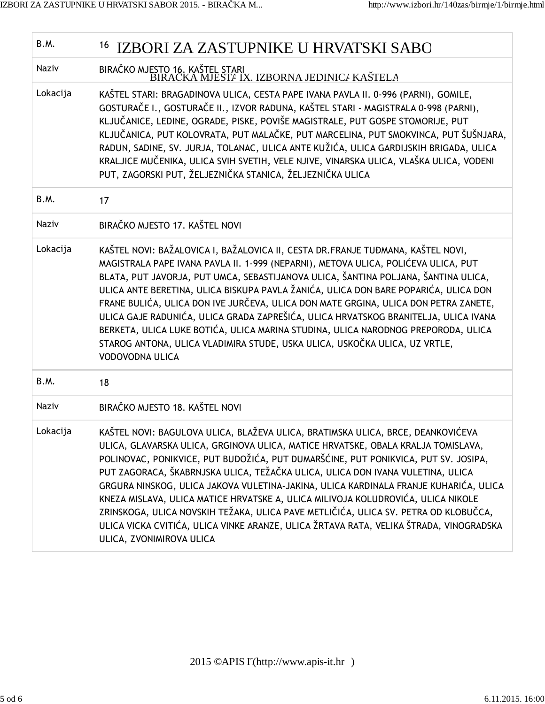| B.M.         | <sup>16</sup> IZBORI ZA ZASTUPNIKE U HRVATSKI SABO                                                                                                                                                                                                                                                                                                                                                                                                                                                                                                                                                                                                                                                                                   |
|--------------|--------------------------------------------------------------------------------------------------------------------------------------------------------------------------------------------------------------------------------------------------------------------------------------------------------------------------------------------------------------------------------------------------------------------------------------------------------------------------------------------------------------------------------------------------------------------------------------------------------------------------------------------------------------------------------------------------------------------------------------|
| Naziv        | BIRAČKO MJESTO 16. KAŠTEL STARI<br>BIRAČKA MJESTA IX. IZBORNA JEDINICA KAŠTELA                                                                                                                                                                                                                                                                                                                                                                                                                                                                                                                                                                                                                                                       |
| Lokacija     | KAŠTEL STARI: BRAGADINOVA ULICA, CESTA PAPE IVANA PAVLA II. 0-996 (PARNI), GOMILE,<br>GOSTURAČE I., GOSTURAČE II., IZVOR RADUNA, KAŠTEL STARI - MAGISTRALA 0-998 (PARNI),<br>KLJUČANICE, LEDINE, OGRADE, PISKE, POVIŠE MAGISTRALE, PUT GOSPE STOMORIJE, PUT<br>KLJUČANICA, PUT KOLOVRATA, PUT MALAČKE, PUT MARCELINA, PUT SMOKVINCA, PUT ŠUŠNJARA,<br>RADUN, SADINE, SV. JURJA, TOLANAC, ULICA ANTE KUŽIĆA, ULICA GARDIJSKIH BRIGADA, ULICA<br>KRALJICE MUČENIKA, ULICA SVIH SVETIH, VELE NJIVE, VINARSKA ULICA, VLAŠKA ULICA, VODENI<br>PUT, ZAGORSKI PUT, ŽELJEZNIČKA STANICA, ŽELJEZNIČKA ULICA                                                                                                                                   |
| B.M.         | 17                                                                                                                                                                                                                                                                                                                                                                                                                                                                                                                                                                                                                                                                                                                                   |
| <b>Naziv</b> | BIRAČKO MJESTO 17. KAŠTEL NOVI                                                                                                                                                                                                                                                                                                                                                                                                                                                                                                                                                                                                                                                                                                       |
| Lokacija     | KAŠTEL NOVI: BAŽALOVICA I, BAŽALOVICA II, CESTA DR. FRANJE TUĐMANA, KAŠTEL NOVI,<br>MAGISTRALA PAPE IVANA PAVLA II. 1-999 (NEPARNI), METOVA ULICA, POLIĆEVA ULICA, PUT<br>BLATA, PUT JAVORJA, PUT UMCA, SEBASTIJANOVA ULICA, ŠANTINA POLJANA, ŠANTINA ULICA,<br>ULICA ANTE BERETINA, ULICA BISKUPA PAVLA ŽANIĆA, ULICA DON BARE POPARIĆA, ULICA DON<br>FRANE BULIĆA, ULICA DON IVE JURČEVA, ULICA DON MATE GRGINA, ULICA DON PETRA ZANETE,<br>ULICA GAJE RADUNIĆA, ULICA GRADA ZAPREŠIĆA, ULICA HRVATSKOG BRANITELJA, ULICA IVANA<br>BERKETA, ULICA LUKE BOTIĆA, ULICA MARINA STUDINA, ULICA NARODNOG PREPORODA, ULICA<br>STAROG ANTONA, ULICA VLADIMIRA STUDE, USKA ULICA, USKOČKA ULICA, UZ VRTLE,<br>VODOVODNA ULICA              |
| B.M.         | 18                                                                                                                                                                                                                                                                                                                                                                                                                                                                                                                                                                                                                                                                                                                                   |
| <b>Naziv</b> | BIRAČKO MJESTO 18. KAŠTEL NOVI                                                                                                                                                                                                                                                                                                                                                                                                                                                                                                                                                                                                                                                                                                       |
| Lokacija     | KAŠTEL NOVI: BAGULOVA ULICA, BLAŽEVA ULICA, BRATIMSKA ULICA, BRCE, DEANKOVIĆEVA<br>ULICA, GLAVARSKA ULICA, GRGINOVA ULICA, MATICE HRVATSKE, OBALA KRALJA TOMISLAVA,<br>POLINOVAC, PONIKVICE, PUT BUDOŽIĆA, PUT DUMARŠĆINE, PUT PONIKVICA, PUT SV. JOSIPA,<br>PUT ZAGORACA, ŠKABRNJSKA ULICA, TEŽAČKA ULICA, ULICA DON IVANA VULETINA, ULICA<br>GRGURA NINSKOG, ULICA JAKOVA VULETINA-JAKINA, ULICA KARDINALA FRANJE KUHARIĆA, ULICA<br>KNEZA MISLAVA, ULICA MATICE HRVATSKE A, ULICA MILIVOJA KOLUDROVIĆA, ULICA NIKOLE<br>ZRINSKOGA, ULICA NOVSKIH TEŽAKA, ULICA PAVE METLIČIĆA, ULICA SV. PETRA OD KLOBUČCA,<br>ULICA VICKA CVITIĆA, ULICA VINKE ARANZE, ULICA ŽRTAVA RATA, VELIKA ŠTRADA, VINOGRADSKA<br>ULICA, ZVONIMIROVA ULICA |